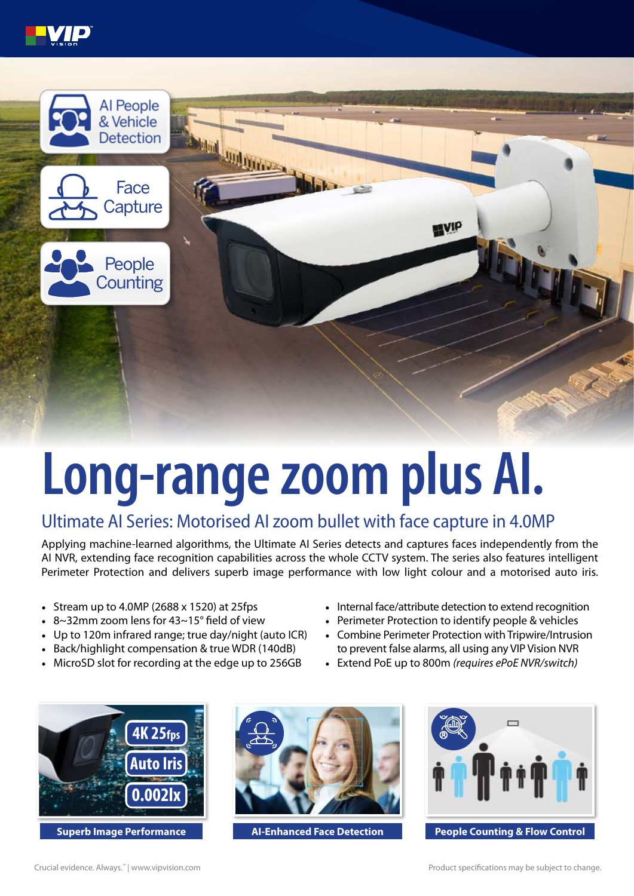



## **Long-range zoom plus AI.**

## Ultimate AI Series: Motorised AI zoom bullet with face capture in 4.0MP

Applying machine-learned algorithms, the Ultimate AI Series detects and captures faces independently from the AI NVR, extending face recognition capabilities across the whole CCTV system. The series also features intelligent Perimeter Protection and delivers superb image performance with low light colour and a motorised auto iris.

- Stream up to 4.0MP (2688 x 1520) at 25fps
- 8~32mm zoom lens for 43~15° field of view
- Up to 120m infrared range; true day/night (auto ICR)
- Back/highlight compensation & true WDR (140dB)
- MicroSD slot for recording at the edge up to 256GB
- Internal face/attribute detection to extend recognition
- Perimeter Protection to identify people & vehicles
- Combine Perimeter Protection with Tripwire/Intrusion to prevent false alarms, all using any VIP Vision NVR
- Extend PoE up to 800m *(requires ePoE NVR/switch)*



**Superb Image Performance AID Resource AI-Enhanced Face Detection**